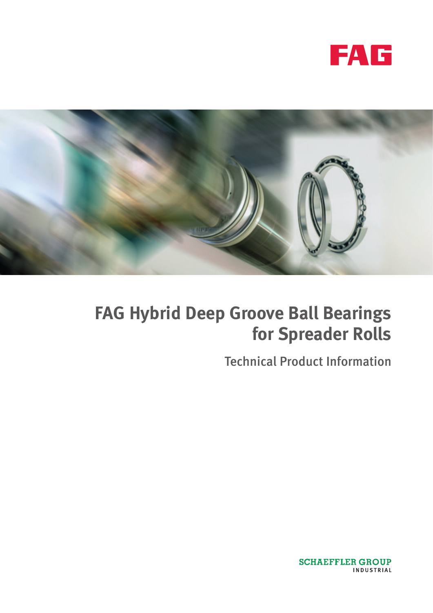



Technical Product Information

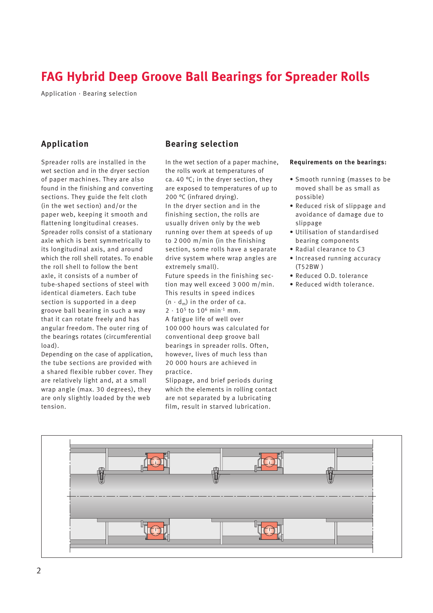Application · Bearing selection

## **Application**

Spreader rolls are installed in the wet section and in the dryer section of paper machines. They are also found in the finishing and converting sections. They guide the felt cloth (in the wet section) and/or the paper web, keeping it smooth and flattening longitudinal creases. Spreader rolls consist of a stationary axle which is bent symmetrically to its longitudinal axis, and around which the roll shell rotates. To enable the roll shell to follow the bent axle, it consists of a number of tube-shaped sections of steel with identical diameters. Each tube section is supported in a deep groove ball bearing in such a way that it can rotate freely and has angular freedom. The outer ring of the bearings rotates (circumferential load).

Depending on the case of application, the tube sections are provided with a shared flexible rubber cover. They are relatively light and, at a small wrap angle (max. 30 degrees), they are only slightly loaded by the web tension.

### **Bearing selection**

In the wet section of a paper machine, the rolls work at temperatures of ca. 40 °C; in the dryer section, they are exposed to temperatures of up to 200 °C (infrared drying). In the dryer section and in the finishing section, the rolls are usually driven only by the web running over them at speeds of up to 2 000 m/min (in the finishing section, some rolls have a separate drive system where wrap angles are extremely small).

Future speeds in the finishing section may well exceed 3 000 m/min. This results in speed indices  $(n \cdot d_m)$  in the order of ca.

 $2 \cdot 10^5$  to  $10^6$  min<sup>-1</sup> mm. A fatigue life of well over

100 000 hours was calculated for conventional deep groove ball bearings in spreader rolls. Often, however, lives of much less than 20 000 hours are achieved in practice.

Slippage, and brief periods during which the elements in rolling contact are not separated by a lubricating film, result in starved lubrication.

#### **Requirements on the bearings:**

- Smooth running (masses to be moved shall be as small as possible)
- Reduced risk of slippage and avoidance of damage due to slinnage
- Utilisation of standardised bearing components
- Radial clearance to C3
- Increased running accuracy (T52BW )
- Reduced O.D. tolerance
- Reduced width tolerance.

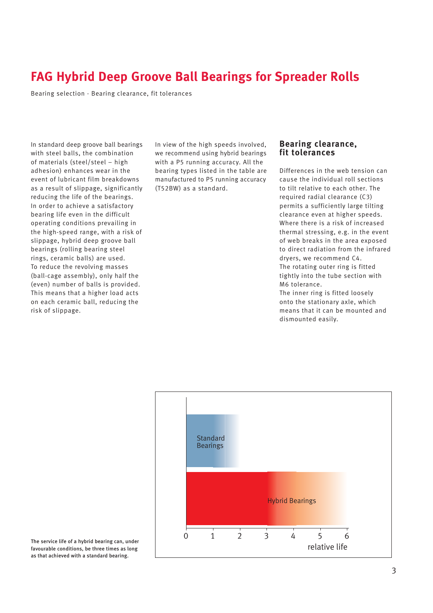Bearing selection · Bearing clearance, fit tolerances

In standard deep groove ball bearings with steel balls, the combination of materials (steel/steel – high adhesion) enhances wear in the event of lubricant film breakdowns as a result of slippage, significantly reducing the life of the bearings. In order to achieve a satisfactory bearing life even in the difficult operating conditions prevailing in the high-speed range, with a risk of slippage, hybrid deep groove ball bearings (rolling bearing steel rings, ceramic balls) are used. To reduce the revolving masses (ball-cage assembly), only half the (even) number of balls is provided. This means that a higher load acts on each ceramic ball, reducing the risk of slippage.

In view of the high speeds involved, we recommend using hybrid bearings with a P5 running accuracy. All the bearing types listed in the table are manufactured to P5 running accuracy (T52BW) as a standard.

### **Bearing clearance, fit tolerances**

Differences in the web tension can cause the individual roll sections to tilt relative to each other. The required radial clearance (C3) permits a sufficiently large tilting clearance even at higher speeds. Where there is a risk of increased thermal stressing, e.g. in the event of web breaks in the area exposed to direct radiation from the infrared dryers, we recommend C4. The rotating outer ring is fitted tightly into the tube section with M6 tolerance.

The inner ring is fitted loosely onto the stationary axle, which means that it can be mounted and dismounted easily.



The service life of a hybrid bearing can, under favourable conditions, be three times as long as that achieved with a standard bearing.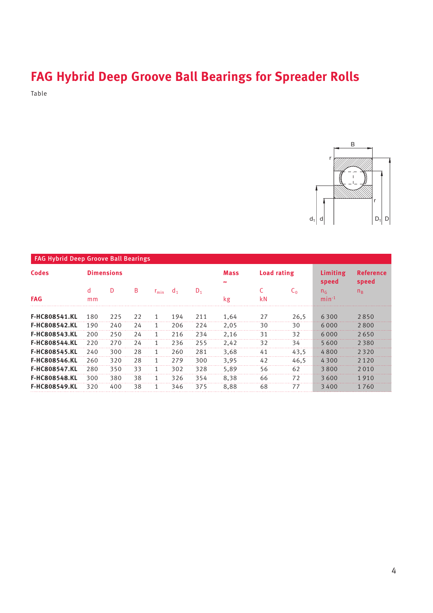Table



| <b>FAG Hybrid Deep Groove Ball Bearings</b> |                   |     |    |            |                |       |                          |             |      |                              |                           |
|---------------------------------------------|-------------------|-----|----|------------|----------------|-------|--------------------------|-------------|------|------------------------------|---------------------------|
| <b>Codes</b><br><b>FAG</b>                  | <b>Dimensions</b> |     |    |            |                |       | <b>Mass</b><br>$\approx$ | Load rating |      | Limiting<br>speed            | <b>Reference</b><br>speed |
|                                             | d<br>mm           | D   | B  | $r_{\min}$ | d <sub>1</sub> | $D_1$ | kg                       | kN          | C۵   | n <sub>6</sub><br>$min^{-1}$ | $n_{\rm R}$               |
| <b>F-HC808541.KL</b>                        | 180               | 225 | 22 | 1          | 194            | 211   | 1,64                     | 27          | 26,5 | 6300                         | 2850                      |
| <b>F-HC808542.KL</b>                        | 190               | 240 | 24 | 1          | 206            | 224   | 2,05                     | 30          | 30   | 6000                         | 2800                      |
| <b>F-HC808543.KL</b>                        | 200               | 250 | 24 |            | 216            | 234   | 2.16                     | 31          | 32   | 6000                         | 2650                      |
| <b>F-HC808544.KL</b>                        | 220               | 270 | 24 |            | 236            | 255   | 2,42                     | 32          | 34   | 5600                         | 2380                      |
| <b>F-HC808545.KL</b>                        | 240               | 300 | 28 | 1          | 260            | 281   | 3.68                     | 41          | 43.5 | 4800                         | 2320                      |
| <b>F-HC808546.KL</b>                        | 260               | 320 | 28 |            | 279            | 300   | 3.95                     | 42          | 46,5 | 4 3 0 0                      | 2 1 2 0                   |
| <b>F-HC808547.KL</b>                        | 280               | 350 | 33 | 1          | 302            | 328   | 5.89                     | 56          | 62   | 3800                         | 2010                      |
| <b>F-HC808548.KL</b>                        | 300               | 380 | 38 | 1          | 326            | 354   | 8.38                     | 66          | 72   | 3600                         | 1910                      |
| <b>F-HC808549.KL</b>                        | 320               | 400 | 38 | 1          | 346            | 375   | 8,88                     | 68          | 77   | 3400                         | 1760                      |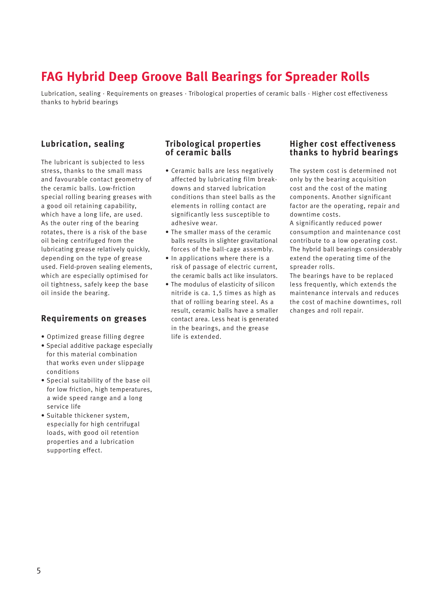Lubrication, sealing · Requirements on greases · Tribological properties of ceramic balls · Higher cost effectiveness thanks to hybrid bearings

### **Lubrication, sealing**

The lubricant is subjected to less stress, thanks to the small mass and favourable contact geometry of the ceramic balls. Low-friction special rolling bearing greases with a good oil retaining capability, which have a long life, are used. As the outer ring of the bearing rotates, there is a risk of the base oil being centrifuged from the lubricating grease relatively quickly, depending on the type of grease used. Field-proven sealing elements, which are especially optimised for oil tightness, safely keep the base oil inside the bearing.

### **Requirements on greases**

- Optimized grease filling degree
- Special additive package especially for this material combination that works even under slippage conditions
- Special suitability of the base oil for low friction, high temperatures, a wide speed range and a long service life
- Suitable thickener system, especially for high centrifugal loads, with good oil retention properties and a lubrication supporting effect.

### **Tribological properties of ceramic balls**

- Ceramic balls are less negatively affected by lubricating film breakdowns and starved lubrication conditions than steel balls as the elements in rolling contact are significantly less susceptible to adhesive wear.
- The smaller mass of the ceramic balls results in slighter gravitational forces of the ball-cage assembly.
- In applications where there is a risk of passage of electric current, the ceramic balls act like insulators.
- The modulus of elasticity of silicon nitride is ca. 1,5 times as high as that of rolling bearing steel. As a result, ceramic balls have a smaller contact area. Less heat is generated in the bearings, and the grease life is extended.

### **Higher cost effectiveness thanks to hybrid bearings**

The system cost is determined not only by the bearing acquisition cost and the cost of the mating components. Another significant factor are the operating, repair and downtime costs.

A significantly reduced power consumption and maintenance cost contribute to a low operating cost. The hybrid ball bearings considerably extend the operating time of the spreader rolls.

The bearings have to be replaced less frequently, which extends the maintenance intervals and reduces the cost of machine downtimes, roll changes and roll repair.